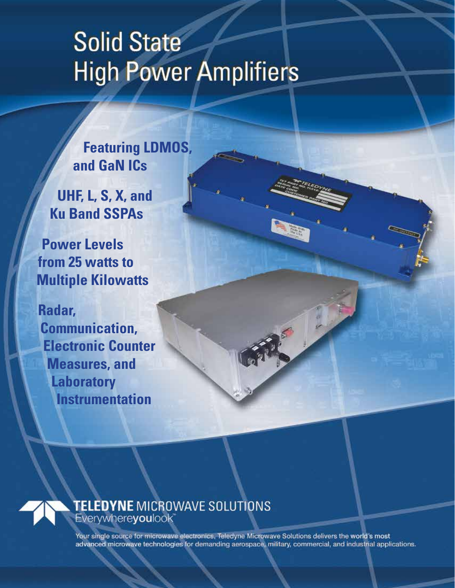# **Solid State High Power Amplifiers**

**Featuring LDMOS, and GaN ICs**

**UHF, L, S, X, and Ku Band SSPAs**

**Power Levels from 25 watts to Multiple Kilowatts**

**Radar, Communication, Electronic Counter Measures, and Laboratory Instrumentation**



Your single source for microwave electronics, Teledyne Microwave Solutions delivers the world's most advanced microwave technologies for demanding aerospace, military, commercial, and industrial applications.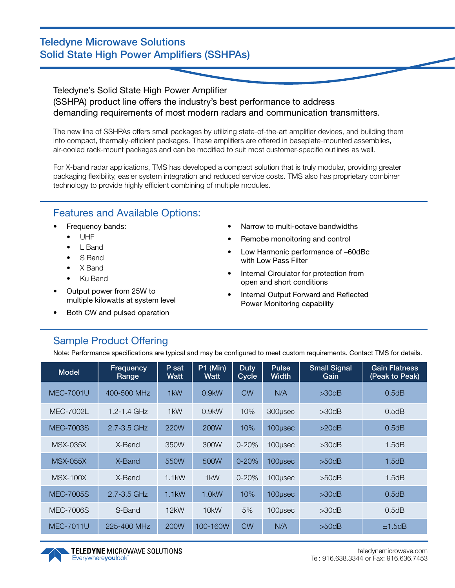### Teledyne Microwave Solutions Solid State High Power Amplifiers (SSHPAs)

Teledyne's Solid State High Power Amplifier (SSHPA) product line offers the industry's best performance to address demanding requirements of most modern radars and communication transmitters.

The new line of SSHPAs offers small packages by utilizing state-of-the-art amplifier devices, and building them into compact, thermally-efficient packages. These amplifiers are offered in baseplate-mounted assemblies, air-cooled rack-mount packages and can be modified to suit most customer-specific outlines as well.

For X-band radar applications, TMS has developed a compact solution that is truly modular, providing greater packaging flexibility, easier system integration and reduced service costs. TMS also has proprietary combiner technology to provide highly efficient combining of multiple modules.

## Features and Available Options:

- Frequency bands:
	- UHF
	- L Band
	- S Band
	- X Band
	- Ku Band
- Output power from 25W to multiple kilowatts at system level
- Both CW and pulsed operation
- Narrow to multi-octave bandwidths
- Remobe monoitoring and control
- Low Harmonic performance of –60dBc with Low Pass Filter
- Internal Circulator for protection from open and short conditions
- Internal Output Forward and Reflected Power Monitoring capability

# Sample Product Offering

Note: Performance specifications are typical and may be configured to meet custom requirements. Contact TMS for details.

| <b>Model</b>     | Frequency<br>Range | $P$ sat<br><b>Watt</b> | $P1$ (Min)<br>Watt | <b>Duty</b><br>Cycle | <b>Pulse</b><br><b>Width</b> | <b>Small Signal</b><br>Gain | <b>Gain Flatness</b><br>(Peak to Peak) |
|------------------|--------------------|------------------------|--------------------|----------------------|------------------------------|-----------------------------|----------------------------------------|
| <b>MEC-7001U</b> | 400-500 MHz        | 1kW                    | $0.9$ kW           | <b>CW</b>            | N/A                          | $>30$ d $B$                 | 0.5dB                                  |
| <b>MEC-7002L</b> | $1.2 - 1.4$ GHz    | 1 <sub>k</sub> W       | $0.9$ kW           | 10%                  | 300usec                      | $>30$ d $B$                 | 0.5dB                                  |
| MEC-7003S        | 2.7-3.5 GHz        | 220W                   | 200W               | 10%                  | 100usec                      | >20dB                       | 0.5dB                                  |
| <b>MSX-035X</b>  | X-Band             | 350W                   | 300W               | $0 - 20%$            | 100usec                      | >30dB                       | 1.5dB                                  |
| <b>MSX-055X</b>  | X-Band             | 550W                   | 500W               | $0 - 20%$            | 100usec                      | $>50$ d $B$                 | 1.5dB                                  |
| <b>MSX-100X</b>  | X-Band             | 1.1kW                  | 1 <sub>k</sub> W   | $0 - 20%$            | 100usec                      | $>50$ d $B$                 | 1.5dB                                  |
| <b>MEC-7005S</b> | $2.7 - 3.5$ GHz    | $1.1$ kW               | $1.0$ kW           | 10%                  | 100usec                      | >30dB                       | 0.5dB                                  |
| <b>MEC-7006S</b> | S-Band             | 12kW                   | 10 <sub>k</sub> W  | 5%                   | 100usec                      | $>30$ d $B$                 | 0.5dB                                  |
| <b>MEC-7011U</b> | 225-400 MHz        | <b>200W</b>            | 100-160W           | <b>CW</b>            | N/A                          | $>50$ d $B$                 | ±1.5dB                                 |

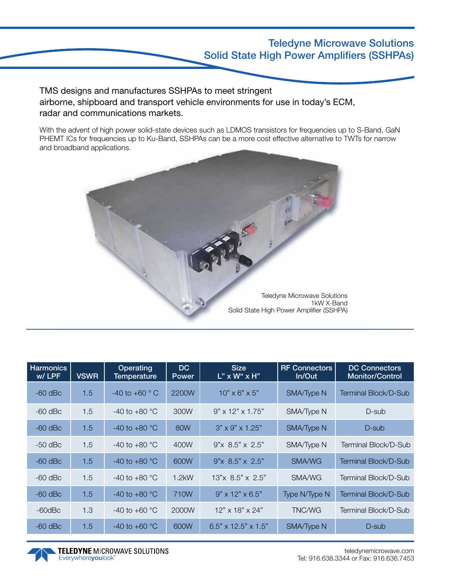#### Teledyne Microwave Solutions Solid State High Power Amplifiers (SSHPAs)

TMS designs and manufactures SSHPAs to meet stringent airborne, shipboard and transport vehicle environments for use in today's ECM, radar and communications markets.

With the advent of high power solid-state devices such as LDMOS transistors for frequencies up to S-Band, GaN PHEMT ICs for frequencies up to Ku-Band, SSHPAs can be a more cost effective alternative to TWTs for narrow and broadband applications.



| <b>Harmonics</b><br>w/LPF | <b>VSWR</b> | Operating<br>Temperature    | DC<br><b>Power</b> | <b>Size</b><br>$L$ " x W" x H"  | <b>RF Connectors</b><br>In/Out | <b>DC Connectors</b><br>Monitor/Control |
|---------------------------|-------------|-----------------------------|--------------------|---------------------------------|--------------------------------|-----------------------------------------|
| $-60$ dBc                 | 1.5         | $-40$ to $+60$ $^{\circ}$ C | 2200W              | $10" \times 6" \times 5"$       | SMA/Type N                     | Terminal Block/D-Sub                    |
| $-60$ dBc                 | 1.5         | $-40$ to $+80$ °C           | 300W               | $9" \times 12" \times 1.75"$    | SMA/Type N                     | D-sub                                   |
| $-60$ dBc                 | 1.5         | $-40$ to $+80$ °C           | 80W                | $3" \times 9" \times 1.25"$     | SMA/Type N                     | D-sub                                   |
| $-50$ dBc                 | 1.5         | $-40$ to $+80$ °C           | 400W               | $9" \times 8.5" \times 2.5"$    | SMA/Type N                     | Terminal Block/D-Sub                    |
| $-60$ dBc                 | 1.5         | $-40$ to $+80$ °C           | 600W               | $9" \times 8.5" \times 2.5"$    | <b>SMA/WG</b>                  | Terminal Block/D-Sub                    |
| $-60$ dBc                 | 1.5         | $-40$ to $+80$ °C           | $1.2$ kW           | $13"$ x 8.5" x 2.5"             | SMA/WG                         | Terminal Block/D-Sub                    |
| $-60$ dBc                 | 1.5         | $-40$ to $+80$ °C           | 710W               | $9" \times 12" \times 6.5"$     | Type N/Type N                  | Terminal Block/D-Sub                    |
| $-60$ d $Bc$              | 1.3         | $-40$ to $+60$ °C           | 2000W              | $12" \times 18" \times 24"$     | <b>TNC/WG</b>                  | Terminal Block/D-Sub                    |
| $-60$ dBc                 | 1.5         | $-40$ to $+60$ °C           | 600W               | $6.5" \times 12.5" \times 1.5"$ | SMA/Type N                     | D-sub                                   |